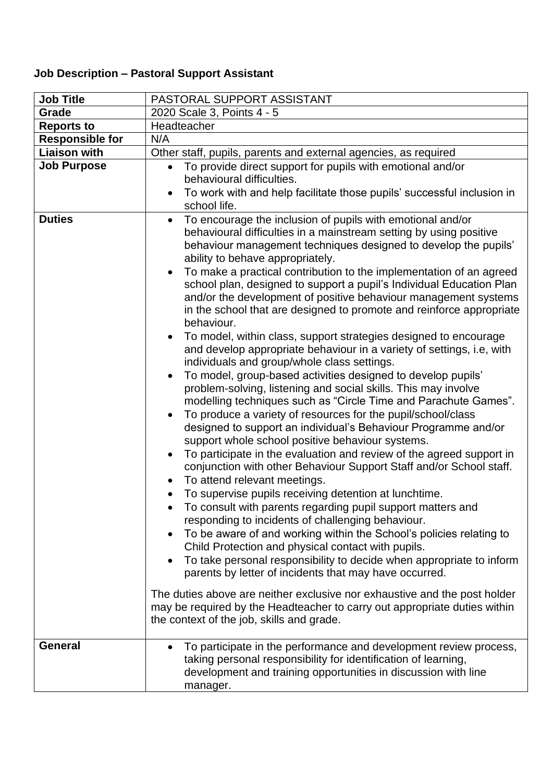## **Job Description – Pastoral Support Assistant**

| <b>Job Title</b>       | PASTORAL SUPPORT ASSISTANT                                                                                                                                                                                                                                                                                                                                                                                                                                                                                                                                                                                                                                                                                                                                                                                                                                                                                                                                                                                                                                                                                                                                                                                                                                                                                                                                                                                                                                                                                                                                                                                                                                                                                                                                                                                                                                                                                                                                                                                      |
|------------------------|-----------------------------------------------------------------------------------------------------------------------------------------------------------------------------------------------------------------------------------------------------------------------------------------------------------------------------------------------------------------------------------------------------------------------------------------------------------------------------------------------------------------------------------------------------------------------------------------------------------------------------------------------------------------------------------------------------------------------------------------------------------------------------------------------------------------------------------------------------------------------------------------------------------------------------------------------------------------------------------------------------------------------------------------------------------------------------------------------------------------------------------------------------------------------------------------------------------------------------------------------------------------------------------------------------------------------------------------------------------------------------------------------------------------------------------------------------------------------------------------------------------------------------------------------------------------------------------------------------------------------------------------------------------------------------------------------------------------------------------------------------------------------------------------------------------------------------------------------------------------------------------------------------------------------------------------------------------------------------------------------------------------|
| Grade                  | 2020 Scale 3, Points 4 - 5                                                                                                                                                                                                                                                                                                                                                                                                                                                                                                                                                                                                                                                                                                                                                                                                                                                                                                                                                                                                                                                                                                                                                                                                                                                                                                                                                                                                                                                                                                                                                                                                                                                                                                                                                                                                                                                                                                                                                                                      |
| <b>Reports to</b>      | Headteacher                                                                                                                                                                                                                                                                                                                                                                                                                                                                                                                                                                                                                                                                                                                                                                                                                                                                                                                                                                                                                                                                                                                                                                                                                                                                                                                                                                                                                                                                                                                                                                                                                                                                                                                                                                                                                                                                                                                                                                                                     |
| <b>Responsible for</b> | N/A                                                                                                                                                                                                                                                                                                                                                                                                                                                                                                                                                                                                                                                                                                                                                                                                                                                                                                                                                                                                                                                                                                                                                                                                                                                                                                                                                                                                                                                                                                                                                                                                                                                                                                                                                                                                                                                                                                                                                                                                             |
| <b>Liaison with</b>    | Other staff, pupils, parents and external agencies, as required                                                                                                                                                                                                                                                                                                                                                                                                                                                                                                                                                                                                                                                                                                                                                                                                                                                                                                                                                                                                                                                                                                                                                                                                                                                                                                                                                                                                                                                                                                                                                                                                                                                                                                                                                                                                                                                                                                                                                 |
| <b>Job Purpose</b>     | To provide direct support for pupils with emotional and/or<br>$\bullet$<br>behavioural difficulties.<br>To work with and help facilitate those pupils' successful inclusion in<br>school life.                                                                                                                                                                                                                                                                                                                                                                                                                                                                                                                                                                                                                                                                                                                                                                                                                                                                                                                                                                                                                                                                                                                                                                                                                                                                                                                                                                                                                                                                                                                                                                                                                                                                                                                                                                                                                  |
| <b>Duties</b>          | To encourage the inclusion of pupils with emotional and/or<br>$\bullet$<br>behavioural difficulties in a mainstream setting by using positive<br>behaviour management techniques designed to develop the pupils'<br>ability to behave appropriately.<br>To make a practical contribution to the implementation of an agreed<br>school plan, designed to support a pupil's Individual Education Plan<br>and/or the development of positive behaviour management systems<br>in the school that are designed to promote and reinforce appropriate<br>behaviour.<br>To model, within class, support strategies designed to encourage<br>and develop appropriate behaviour in a variety of settings, i.e, with<br>individuals and group/whole class settings.<br>To model, group-based activities designed to develop pupils'<br>problem-solving, listening and social skills. This may involve<br>modelling techniques such as "Circle Time and Parachute Games".<br>To produce a variety of resources for the pupil/school/class<br>designed to support an individual's Behaviour Programme and/or<br>support whole school positive behaviour systems.<br>To participate in the evaluation and review of the agreed support in<br>$\bullet$<br>conjunction with other Behaviour Support Staff and/or School staff.<br>To attend relevant meetings.<br>To supervise pupils receiving detention at lunchtime.<br>To consult with parents regarding pupil support matters and<br>responding to incidents of challenging behaviour.<br>To be aware of and working within the School's policies relating to<br>Child Protection and physical contact with pupils.<br>To take personal responsibility to decide when appropriate to inform<br>$\bullet$<br>parents by letter of incidents that may have occurred.<br>The duties above are neither exclusive nor exhaustive and the post holder<br>may be required by the Headteacher to carry out appropriate duties within<br>the context of the job, skills and grade. |
| <b>General</b>         | To participate in the performance and development review process,<br>taking personal responsibility for identification of learning,<br>development and training opportunities in discussion with line<br>manager.                                                                                                                                                                                                                                                                                                                                                                                                                                                                                                                                                                                                                                                                                                                                                                                                                                                                                                                                                                                                                                                                                                                                                                                                                                                                                                                                                                                                                                                                                                                                                                                                                                                                                                                                                                                               |